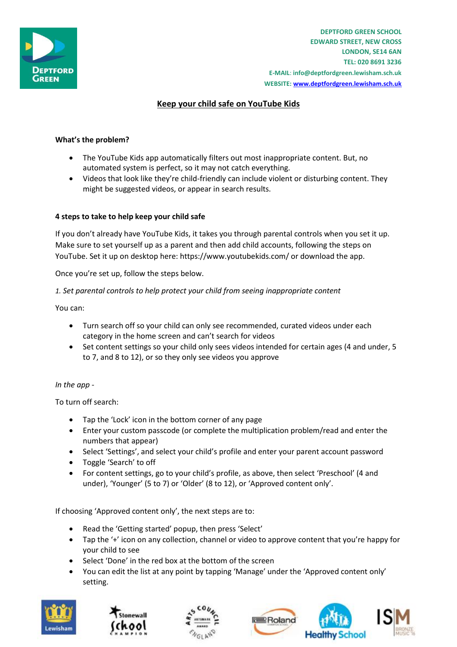

**DEPTFORD GREEN SCHOOL EDWARD STREET, NEW CROSS LONDON, SE14 6AN TEL: 020 8691 3236 E-MAIL**: **info@deptfordgreen.lewisham.sch.uk WEBSITE: www.deptfordgreen.lewisham.sch.uk**

# **Keep your child safe on YouTube Kids**

### **What's the problem?**

- The YouTube Kids app automatically filters out most inappropriate content. But, no automated system is perfect, so it may not catch everything.
- Videos that look like they're child-friendly can include violent or disturbing content. They might be suggested videos, or appear in search results.

### **4 steps to take to help keep your child safe**

If you don't already have YouTube Kids, it takes you through parental controls when you set it up. Make sure to set yourself up as a parent and then add child accounts, following the steps on YouTube. Set it up on desktop here: https://www.youtubekids.com/ or download the app.

Once you're set up, follow the steps below.

#### *1. Set parental controls to help protect your child from seeing inappropriate content*

You can:

- Turn search off so your child can only see recommended, curated videos under each category in the home screen and can't search for videos
- Set content settings so your child only sees videos intended for certain ages (4 and under, 5 to 7, and 8 to 12), or so they only see videos you approve

### *In the app -*

To turn off search:

- Tap the 'Lock' icon in the bottom corner of any page
- Enter your custom passcode (or complete the multiplication problem/read and enter the numbers that appear)
- Select 'Settings', and select your child's profile and enter your parent account password
- Toggle 'Search' to off
- For content settings, go to your child's profile, as above, then select 'Preschool' (4 and under), 'Younger' (5 to 7) or 'Older' (8 to 12), or 'Approved content only'.

If choosing 'Approved content only', the next steps are to:

- Read the 'Getting started' popup, then press 'Select'
- Tap the '+' icon on any collection, channel or video to approve content that you're happy for your child to see
- Select 'Done' in the red box at the bottom of the screen
- You can edit the list at any point by tapping 'Manage' under the 'Approved content only' setting.







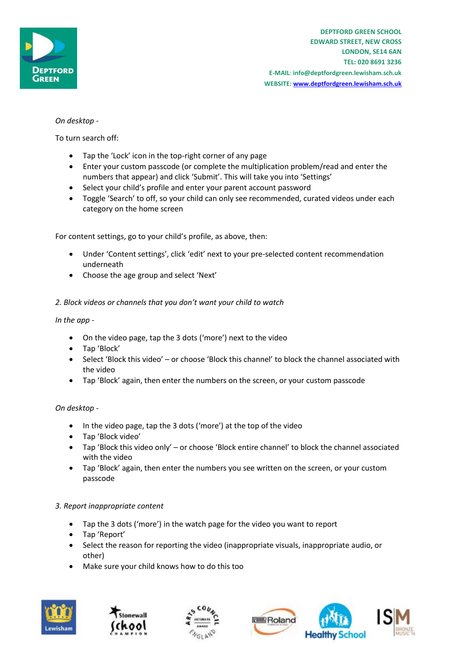

# *On desktop -*

To turn search off:

- Tap the 'Lock' icon in the top-right corner of any page
- Enter your custom passcode (or complete the multiplication problem/read and enter the numbers that appear) and click 'Submit'. This will take you into 'Settings'
- Select your child's profile and enter your parent account password
- Toggle 'Search' to off, so your child can only see recommended, curated videos under each category on the home screen

For content settings, go to your child's profile, as above, then:

- Under 'Content settings', click 'edit' next to your pre-selected content recommendation underneath
- Choose the age group and select 'Next'

### *2. Block videos or channels that you don't want your child to watch*

*In the app -*

- On the video page, tap the 3 dots ('more') next to the video
- Tap 'Block'
- Select 'Block this video' or choose 'Block this channel' to block the channel associated with the video
- Tap 'Block' again, then enter the numbers on the screen, or your custom passcode

### *On desktop -*

- In the video page, tap the 3 dots ('more') at the top of the video
- Tap 'Block video'
- Tap 'Block this video only' or choose 'Block entire channel' to block the channel associated with the video
- Tap 'Block' again, then enter the numbers you see written on the screen, or your custom passcode

### *3. Report inappropriate content*

- Tap the 3 dots ('more') in the watch page for the video you want to report
- Tap 'Report'
- Select the reason for reporting the video (inappropriate visuals, inappropriate audio, or other)
- Make sure your child knows how to do this too